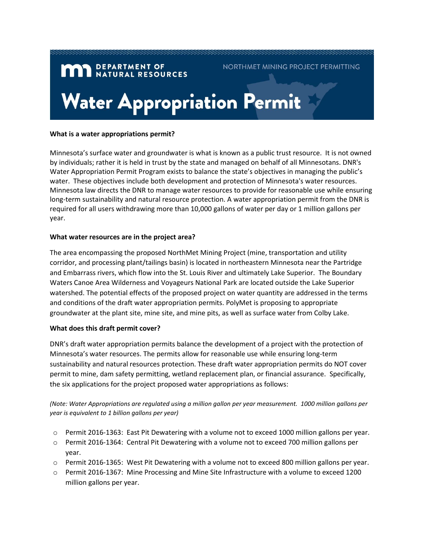# **MAN** DEPARTMENT OF NATURAL RESOURCES NORTHMET MINING PROJECT PERMITTING **Water Appropriation Permit**

### **What is a water appropriations permit?**

Minnesota's surface water and groundwater is what is known as a public trust resource. It is not owned by individuals; rather it is held in trust by the state and managed on behalf of all Minnesotans. DNR's Water Appropriation Permit Program exists to balance the state's objectives in managing the public's water. These objectives include both development and protection of Minnesota's water resources. Minnesota law directs the DNR to manage water resources to provide for reasonable use while ensuring long-term sustainability and natural resource protection. A water appropriation permit from the DNR is required for all users withdrawing more than 10,000 gallons of water per day or 1 million gallons per year.

## **What water resources are in the project area?**

The area encompassing the proposed NorthMet Mining Project (mine, transportation and utility corridor, and processing plant/tailings basin) is located in northeastern Minnesota near the Partridge and Embarrass rivers, which flow into the St. Louis River and ultimately Lake Superior. The Boundary Waters Canoe Area Wilderness and Voyageurs National Park are located outside the Lake Superior watershed. The potential effects of the proposed project on water quantity are addressed in the terms and conditions of the draft water appropriation permits. PolyMet is proposing to appropriate groundwater at the plant site, mine site, and mine pits, as well as surface water from Colby Lake.

## **What does this draft permit cover?**

DNR's draft water appropriation permits balance the development of a project with the protection of Minnesota's water resources. The permits allow for reasonable use while ensuring long-term sustainability and natural resources protection. These draft water appropriation permits do NOT cover permit to mine, dam safety permitting, wetland replacement plan, or financial assurance. Specifically, the six applications for the project proposed water appropriations as follows:

*(Note: Water Appropriations are regulated using a million gallon per year measurement. 1000 million gallons per year is equivalent to 1 billion gallons per year)*

- o Permit 2016-1363: East Pit Dewatering with a volume not to exceed 1000 million gallons per year.
- $\circ$  Permit 2016-1364: Central Pit Dewatering with a volume not to exceed 700 million gallons per year.
- o Permit 2016-1365: West Pit Dewatering with a volume not to exceed 800 million gallons per year.
- o Permit 2016-1367: Mine Processing and Mine Site Infrastructure with a volume to exceed 1200 million gallons per year.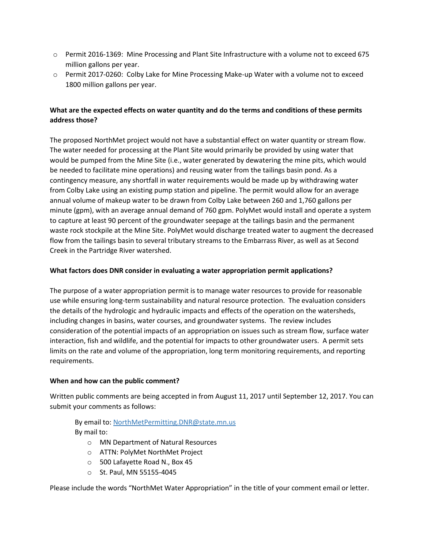- o Permit 2016-1369: Mine Processing and Plant Site Infrastructure with a volume not to exceed 675 million gallons per year.
- o Permit 2017-0260: Colby Lake for Mine Processing Make-up Water with a volume not to exceed 1800 million gallons per year.

## **What are the expected effects on water quantity and do the terms and conditions of these permits address those?**

The proposed NorthMet project would not have a substantial effect on water quantity or stream flow. The water needed for processing at the Plant Site would primarily be provided by using water that would be pumped from the Mine Site (i.e., water generated by dewatering the mine pits, which would be needed to facilitate mine operations) and reusing water from the tailings basin pond. As a contingency measure, any shortfall in water requirements would be made up by withdrawing water from Colby Lake using an existing pump station and pipeline. The permit would allow for an average annual volume of makeup water to be drawn from Colby Lake between 260 and 1,760 gallons per minute (gpm), with an average annual demand of 760 gpm. PolyMet would install and operate a system to capture at least 90 percent of the groundwater seepage at the tailings basin and the permanent waste rock stockpile at the Mine Site. PolyMet would discharge treated water to augment the decreased flow from the tailings basin to several tributary streams to the Embarrass River, as well as at Second Creek in the Partridge River watershed.

## **What factors does DNR consider in evaluating a water appropriation permit applications?**

The purpose of a water appropriation permit is to manage water resources to provide for reasonable use while ensuring long-term sustainability and natural resource protection. The evaluation considers the details of the hydrologic and hydraulic impacts and effects of the operation on the watersheds, including changes in basins, water courses, and groundwater systems. The review includes consideration of the potential impacts of an appropriation on issues such as stream flow, surface water interaction, fish and wildlife, and the potential for impacts to other groundwater users. A permit sets limits on the rate and volume of the appropriation, long term monitoring requirements, and reporting requirements.

## **When and how can the public comment?**

Written public comments are being accepted in from August 11, 2017 until September 12, 2017. You can submit your comments as follows:

By email to: [NorthMetPermitting.DNR@state.mn.us](mailto:NorthMetPermitting.DNR@state.mn.us) By mail to:

- o MN Department of Natural Resources
- o ATTN: PolyMet NorthMet Project
- o 500 Lafayette Road N., Box 45
- o St. Paul, MN 55155-4045

Please include the words "NorthMet Water Appropriation" in the title of your comment email or letter.